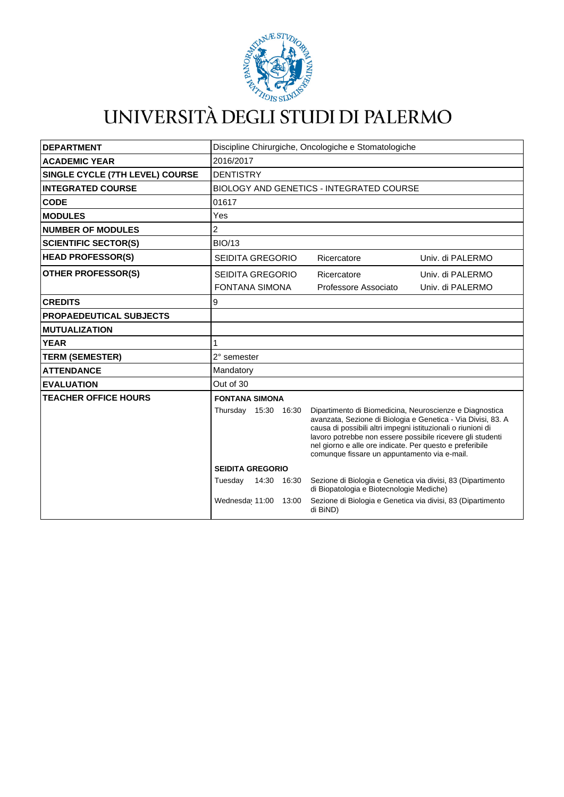

# UNIVERSITÀ DEGLI STUDI DI PALERMO

| <b>DEPARTMENT</b>               | Discipline Chirurgiche, Oncologiche e Stomatologiche                                                                                                                                                                                                                                                                                                                                      |  |
|---------------------------------|-------------------------------------------------------------------------------------------------------------------------------------------------------------------------------------------------------------------------------------------------------------------------------------------------------------------------------------------------------------------------------------------|--|
| <b>ACADEMIC YEAR</b>            | 2016/2017                                                                                                                                                                                                                                                                                                                                                                                 |  |
| SINGLE CYCLE (7TH LEVEL) COURSE | <b>DENTISTRY</b>                                                                                                                                                                                                                                                                                                                                                                          |  |
| <b>INTEGRATED COURSE</b>        | <b>BIOLOGY AND GENETICS - INTEGRATED COURSE</b>                                                                                                                                                                                                                                                                                                                                           |  |
| <b>CODE</b>                     | 01617                                                                                                                                                                                                                                                                                                                                                                                     |  |
| <b>MODULES</b>                  | Yes                                                                                                                                                                                                                                                                                                                                                                                       |  |
| <b>NUMBER OF MODULES</b>        | 2                                                                                                                                                                                                                                                                                                                                                                                         |  |
| <b>SCIENTIFIC SECTOR(S)</b>     | <b>BIO/13</b>                                                                                                                                                                                                                                                                                                                                                                             |  |
| <b>HEAD PROFESSOR(S)</b>        | Ricercatore<br><b>SEIDITA GREGORIO</b><br>Univ. di PALERMO                                                                                                                                                                                                                                                                                                                                |  |
| <b>OTHER PROFESSOR(S)</b>       | <b>SEIDITA GREGORIO</b><br>Univ. di PALERMO<br>Ricercatore                                                                                                                                                                                                                                                                                                                                |  |
|                                 | <b>FONTANA SIMONA</b><br>Professore Associato<br>Univ. di PALERMO                                                                                                                                                                                                                                                                                                                         |  |
| <b>CREDITS</b>                  | 9                                                                                                                                                                                                                                                                                                                                                                                         |  |
| <b>PROPAEDEUTICAL SUBJECTS</b>  |                                                                                                                                                                                                                                                                                                                                                                                           |  |
| <b>IMUTUALIZATION</b>           |                                                                                                                                                                                                                                                                                                                                                                                           |  |
| <b>YEAR</b>                     | 1                                                                                                                                                                                                                                                                                                                                                                                         |  |
| <b>TERM (SEMESTER)</b>          | 2° semester                                                                                                                                                                                                                                                                                                                                                                               |  |
| <b>ATTENDANCE</b>               | Mandatory                                                                                                                                                                                                                                                                                                                                                                                 |  |
| <b>EVALUATION</b>               | Out of 30                                                                                                                                                                                                                                                                                                                                                                                 |  |
| <b>TEACHER OFFICE HOURS</b>     | <b>FONTANA SIMONA</b>                                                                                                                                                                                                                                                                                                                                                                     |  |
|                                 | Thursday 15:30 16:30<br>Dipartimento di Biomedicina, Neuroscienze e Diagnostica<br>avanzata, Sezione di Biologia e Genetica - Via Divisi, 83. A<br>causa di possibili altri impegni istituzionali o riunioni di<br>lavoro potrebbe non essere possibile ricevere gli studenti<br>nel giorno e alle ore indicate. Per questo e preferibile<br>comunque fissare un appuntamento via e-mail. |  |
|                                 | <b>SEIDITA GREGORIO</b>                                                                                                                                                                                                                                                                                                                                                                   |  |
|                                 | Sezione di Biologia e Genetica via divisi, 83 (Dipartimento<br>Tuesday<br>14:30 16:30<br>di Biopatologia e Biotecnologie Mediche)                                                                                                                                                                                                                                                         |  |
|                                 | Sezione di Biologia e Genetica via divisi, 83 (Dipartimento<br>Wednesday 11:00<br>13:00<br>di BiND)                                                                                                                                                                                                                                                                                       |  |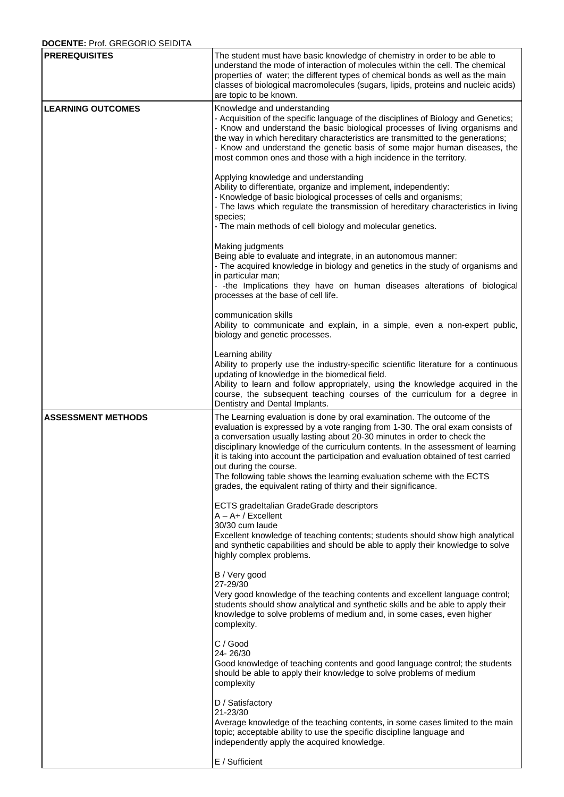# **DOCENTE:** Prof. GREGORIO SEIDITA

| <b>PREREQUISITES</b>      | The student must have basic knowledge of chemistry in order to be able to<br>understand the mode of interaction of molecules within the cell. The chemical<br>properties of water; the different types of chemical bonds as well as the main<br>classes of biological macromolecules (sugars, lipids, proteins and nucleic acids)<br>are topic to be known.                                                                                |
|---------------------------|--------------------------------------------------------------------------------------------------------------------------------------------------------------------------------------------------------------------------------------------------------------------------------------------------------------------------------------------------------------------------------------------------------------------------------------------|
| <b>LEARNING OUTCOMES</b>  | Knowledge and understanding<br>- Acquisition of the specific language of the disciplines of Biology and Genetics;<br>- Know and understand the basic biological processes of living organisms and<br>the way in which hereditary characteristics are transmitted to the generations;<br>- Know and understand the genetic basis of some major human diseases, the<br>most common ones and those with a high incidence in the territory.    |
|                           | Applying knowledge and understanding<br>Ability to differentiate, organize and implement, independently:<br>- Knowledge of basic biological processes of cells and organisms;<br>- The laws which regulate the transmission of hereditary characteristics in living<br>species;<br>- The main methods of cell biology and molecular genetics.                                                                                              |
|                           | Making judgments<br>Being able to evaluate and integrate, in an autonomous manner:<br>- The acquired knowledge in biology and genetics in the study of organisms and<br>in particular man;<br>- - the Implications they have on human diseases alterations of biological                                                                                                                                                                   |
|                           | processes at the base of cell life.<br>communication skills<br>Ability to communicate and explain, in a simple, even a non-expert public,<br>biology and genetic processes.                                                                                                                                                                                                                                                                |
|                           | Learning ability<br>Ability to properly use the industry-specific scientific literature for a continuous<br>updating of knowledge in the biomedical field.<br>Ability to learn and follow appropriately, using the knowledge acquired in the<br>course, the subsequent teaching courses of the curriculum for a degree in<br>Dentistry and Dental Implants.                                                                                |
| <b>ASSESSMENT METHODS</b> | The Learning evaluation is done by oral examination. The outcome of the<br>evaluation is expressed by a vote ranging from 1-30. The oral exam consists of<br>a conversation usually lasting about 20-30 minutes in order to check the<br>disciplinary knowledge of the curriculum contents. In the assessment of learning<br>it is taking into account the participation and evaluation obtained of test carried<br>out during the course. |
|                           | The following table shows the learning evaluation scheme with the ECTS<br>grades, the equivalent rating of thirty and their significance.                                                                                                                                                                                                                                                                                                  |
|                           | ECTS grade Italian Grade Grade descriptors<br>$A - A + /$ Excellent                                                                                                                                                                                                                                                                                                                                                                        |
|                           | 30/30 cum laude<br>Excellent knowledge of teaching contents; students should show high analytical<br>and synthetic capabilities and should be able to apply their knowledge to solve<br>highly complex problems.                                                                                                                                                                                                                           |
|                           | B / Very good<br>27-29/30<br>Very good knowledge of the teaching contents and excellent language control;<br>students should show analytical and synthetic skills and be able to apply their<br>knowledge to solve problems of medium and, in some cases, even higher<br>complexity.                                                                                                                                                       |
|                           | C / Good<br>24-26/30<br>Good knowledge of teaching contents and good language control; the students<br>should be able to apply their knowledge to solve problems of medium<br>complexity                                                                                                                                                                                                                                                   |
|                           | D / Satisfactory<br>21-23/30<br>Average knowledge of the teaching contents, in some cases limited to the main<br>topic; acceptable ability to use the specific discipline language and<br>independently apply the acquired knowledge.                                                                                                                                                                                                      |
|                           | E / Sufficient                                                                                                                                                                                                                                                                                                                                                                                                                             |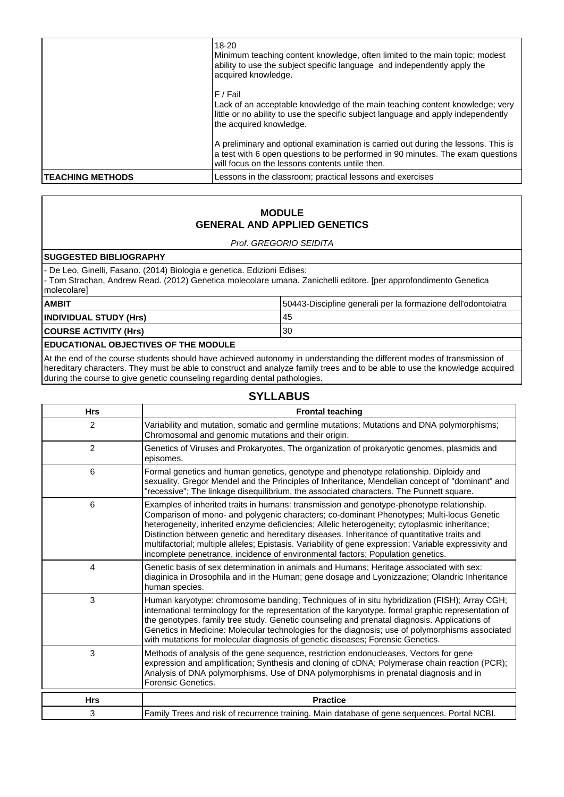|                         | $18 - 20$<br>Minimum teaching content knowledge, often limited to the main topic; modest<br>ability to use the subject specific language and independently apply the<br>acquired knowledge.                            |
|-------------------------|------------------------------------------------------------------------------------------------------------------------------------------------------------------------------------------------------------------------|
|                         | $F / F$ ail<br>Lack of an acceptable knowledge of the main teaching content knowledge; very<br>little or no ability to use the specific subject language and apply independently<br>the acquired knowledge.            |
|                         | A preliminary and optional examination is carried out during the lessons. This is<br>a test with 6 open questions to be performed in 90 minutes. The exam questions<br>will focus on the lessons contents untile then. |
| <b>TEACHING METHODS</b> | Lessons in the classroom; practical lessons and exercises                                                                                                                                                              |

# **MODULE GENERAL AND APPLIED GENETICS**

Prof. GREGORIO SEIDITA

#### **SUGGESTED BIBLIOGRAPHY**

- De Leo, Ginelli, Fasano. (2014) Biologia e genetica. Edizioni Edises; - Tom Strachan, Andrew Read. (2012) Genetica molecolare umana. Zanichelli editore. [per approfondimento Genetica molecolare]

| <b>AMBIT</b>                               | 50443-Discipline generali per la formazione dell'odontoiatra |
|--------------------------------------------|--------------------------------------------------------------|
| <b>INDIVIDUAL STUDY (Hrs)</b>              | 45                                                           |
| <b>COURSE ACTIVITY (Hrs)</b>               | 30                                                           |
| ==  AI= AIII  AB  =A=  /=A_=   =   AB    = |                                                              |

#### **EDUCATIONAL OBJECTIVES OF THE MODULE**

At the end of the course students should have achieved autonomy in understanding the different modes of transmission of hereditary characters. They must be able to construct and analyze family trees and to be able to use the knowledge acquired during the course to give genetic counseling regarding dental pathologies.

## **SYLLABUS**

| <b>Hrs</b>     | <b>Frontal teaching</b>                                                                                                                                                                                                                                                                                                                                                                                                                                                                                                                                                             |
|----------------|-------------------------------------------------------------------------------------------------------------------------------------------------------------------------------------------------------------------------------------------------------------------------------------------------------------------------------------------------------------------------------------------------------------------------------------------------------------------------------------------------------------------------------------------------------------------------------------|
| 2              | Variability and mutation, somatic and germline mutations; Mutations and DNA polymorphisms;<br>Chromosomal and genomic mutations and their origin.                                                                                                                                                                                                                                                                                                                                                                                                                                   |
| $\overline{2}$ | Genetics of Viruses and Prokaryotes, The organization of prokaryotic genomes, plasmids and<br>episomes.                                                                                                                                                                                                                                                                                                                                                                                                                                                                             |
| 6              | Formal genetics and human genetics, genotype and phenotype relationship. Diploidy and<br>sexuality. Gregor Mendel and the Principles of Inheritance, Mendelian concept of "dominant" and<br>"recessive"; The linkage disequilibrium, the associated characters. The Punnett square.                                                                                                                                                                                                                                                                                                 |
| 6              | Examples of inherited traits in humans: transmission and genotype-phenotype relationship.<br>Comparison of mono- and polygenic characters; co-dominant Phenotypes; Multi-locus Genetic<br>heterogeneity, inherited enzyme deficiencies; Allelic heterogeneity; cytoplasmic inheritance;<br>Distinction between genetic and hereditary diseases. Inheritance of quantitative traits and<br>multifactorial; multiple alleles; Epistasis. Variability of gene expression; Variable expressivity and<br>incomplete penetrance, incidence of environmental factors; Population genetics. |
| 4              | Genetic basis of sex determination in animals and Humans; Heritage associated with sex:<br>diaginica in Drosophila and in the Human; gene dosage and Lyonizzazione; Olandric Inheritance<br>human species.                                                                                                                                                                                                                                                                                                                                                                          |
| 3              | Human karyotype: chromosome banding; Techniques of in situ hybridization (FISH); Array CGH;<br>international terminology for the representation of the karyotype. formal graphic representation of<br>the genotypes. family tree study. Genetic counseling and prenatal diagnosis. Applications of<br>Genetics in Medicine: Molecular technologies for the diagnosis; use of polymorphisms associated<br>with mutations for molecular diagnosis of genetic diseases; Forensic Genetics.                                                                                             |
| 3              | Methods of analysis of the gene sequence, restriction endonucleases, Vectors for gene<br>expression and amplification; Synthesis and cloning of cDNA; Polymerase chain reaction (PCR);<br>Analysis of DNA polymorphisms. Use of DNA polymorphisms in prenatal diagnosis and in<br>Forensic Genetics.                                                                                                                                                                                                                                                                                |
| <b>Hrs</b>     | <b>Practice</b>                                                                                                                                                                                                                                                                                                                                                                                                                                                                                                                                                                     |
| 3              | Family Trees and risk of recurrence training. Main database of gene sequences. Portal NCBI.                                                                                                                                                                                                                                                                                                                                                                                                                                                                                         |